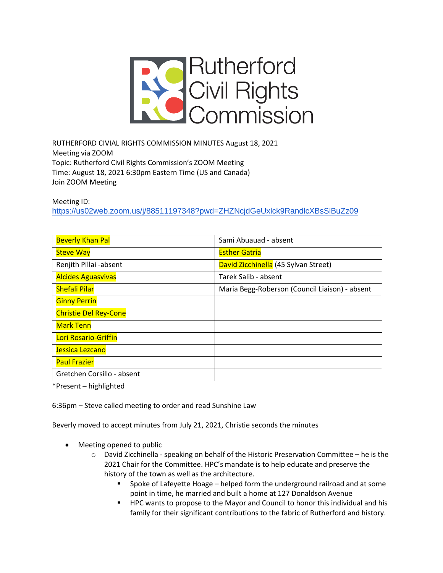

RUTHERFORD CIVIAL RIGHTS COMMISSION MINUTES August 18, 2021 Meeting via ZOOM Topic: Rutherford Civil Rights Commission's ZOOM Meeting Time: August 18, 2021 6:30pm Eastern Time (US and Canada) Join ZOOM Meeting

Meeting ID:

<https://us02web.zoom.us/j/88511197348?pwd=ZHZNcjdGeUxlck9RandlcXBsSlBuZz09>

| <b>Beverly Khan Pal</b>      | Sami Abuauad - absent                          |
|------------------------------|------------------------------------------------|
| <b>Steve Way</b>             | <b>Esther Gatria</b>                           |
| Renjith Pillai -absent       | David Zicchinella (45 Sylvan Street)           |
| <b>Alcides Aguasvivas</b>    | Tarek Salib - absent                           |
| <b>Shefali Pilar</b>         | Maria Begg-Roberson (Council Liaison) - absent |
| <b>Ginny Perrin</b>          |                                                |
| <b>Christie Del Rey-Cone</b> |                                                |
| <b>Mark Tenn</b>             |                                                |
| Lori Rosario-Griffin         |                                                |
| Jessica Lezcano              |                                                |
| <b>Paul Frazier</b>          |                                                |
| Gretchen Corsillo - absent   |                                                |

\*Present – highlighted

6:36pm – Steve called meeting to order and read Sunshine Law

Beverly moved to accept minutes from July 21, 2021, Christie seconds the minutes

- Meeting opened to public
	- $\circ$  David Zicchinella speaking on behalf of the Historic Preservation Committee he is the 2021 Chair for the Committee. HPC's mandate is to help educate and preserve the history of the town as well as the architecture.
		- Spoke of Lafeyette Hoage helped form the underground railroad and at some point in time, he married and built a home at 127 Donaldson Avenue
		- **HPC wants to propose to the Mayor and Council to honor this individual and his** family for their significant contributions to the fabric of Rutherford and history.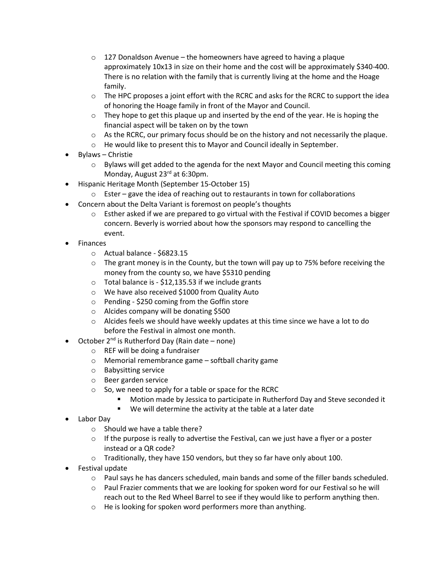- $\circ$  127 Donaldson Avenue the homeowners have agreed to having a plaque approximately 10x13 in size on their home and the cost will be approximately \$340-400. There is no relation with the family that is currently living at the home and the Hoage family.
- $\circ$  The HPC proposes a joint effort with the RCRC and asks for the RCRC to support the idea of honoring the Hoage family in front of the Mayor and Council.
- $\circ$  They hope to get this plaque up and inserted by the end of the year. He is hoping the financial aspect will be taken on by the town
- $\circ$  As the RCRC, our primary focus should be on the history and not necessarily the plaque.
- o He would like to present this to Mayor and Council ideally in September.
- Bylaws Christie
	- $\circ$  Bylaws will get added to the agenda for the next Mayor and Council meeting this coming Monday, August 23rd at 6:30pm.
- Hispanic Heritage Month (September 15-October 15)
	- $\circ$  Ester gave the idea of reaching out to restaurants in town for collaborations
- Concern about the Delta Variant is foremost on people's thoughts
	- $\circ$  Esther asked if we are prepared to go virtual with the Festival if COVID becomes a bigger concern. Beverly is worried about how the sponsors may respond to cancelling the event.
- **Finances** 
	- o Actual balance \$6823.15
	- $\circ$  The grant money is in the County, but the town will pay up to 75% before receiving the money from the county so, we have \$5310 pending
	- $\circ$  Total balance is \$12,135.53 if we include grants
	- o We have also received \$1000 from Quality Auto
	- o Pending \$250 coming from the Goffin store
	- o Alcides company will be donating \$500
	- $\circ$  Alcides feels we should have weekly updates at this time since we have a lot to do before the Festival in almost one month.
- October  $2^{nd}$  is Rutherford Day (Rain date none)
	- o REF will be doing a fundraiser
	- o Memorial remembrance game softball charity game
	- o Babysitting service
	- o Beer garden service
	- $\circ$  So, we need to apply for a table or space for the RCRC
		- Motion made by Jessica to participate in Rutherford Day and Steve seconded it
		- We will determine the activity at the table at a later date
- Labor Day
	- o Should we have a table there?
	- $\circ$  If the purpose is really to advertise the Festival, can we just have a flyer or a poster instead or a QR code?
	- o Traditionally, they have 150 vendors, but they so far have only about 100.
- Festival update
	- $\circ$  Paul says he has dancers scheduled, main bands and some of the filler bands scheduled.
	- $\circ$  Paul Frazier comments that we are looking for spoken word for our Festival so he will reach out to the Red Wheel Barrel to see if they would like to perform anything then.
	- o He is looking for spoken word performers more than anything.